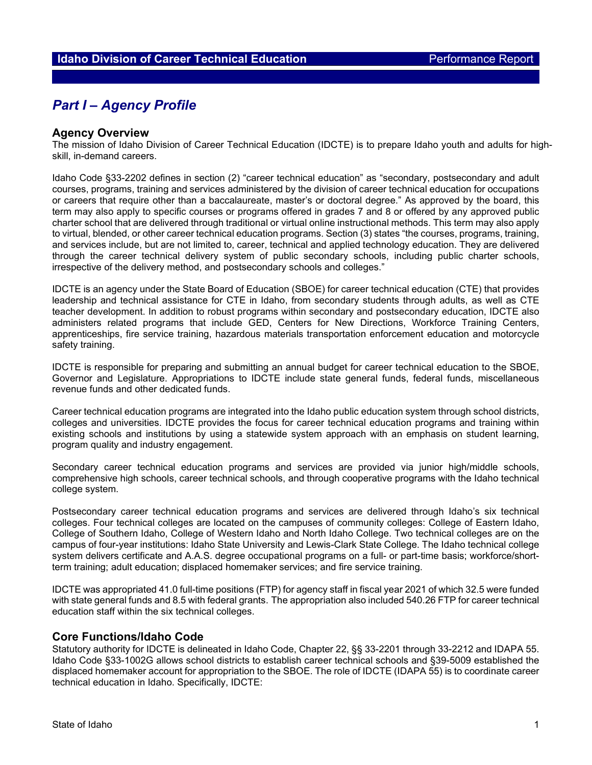# *Part I – Agency Profile*

### **Agency Overview**

The mission of Idaho Division of Career Technical Education (IDCTE) is to prepare Idaho youth and adults for highskill, in-demand careers.

Idaho Code §33-2202 defines in section (2) "career technical education" as "secondary, postsecondary and adult courses, programs, training and services administered by the division of career technical education for occupations or careers that require other than a baccalaureate, master's or doctoral degree." As approved by the board, this term may also apply to specific courses or programs offered in grades 7 and 8 or offered by any approved public charter school that are delivered through traditional or virtual online instructional methods. This term may also apply to virtual, blended, or other career technical education programs. Section (3) states "the courses, programs, training, and services include, but are not limited to, career, technical and applied technology education. They are delivered through the career technical delivery system of public secondary schools, including public charter schools, irrespective of the delivery method, and postsecondary schools and colleges."

IDCTE is an agency under the State Board of Education (SBOE) for career technical education (CTE) that provides leadership and technical assistance for CTE in Idaho, from secondary students through adults, as well as CTE teacher development. In addition to robust programs within secondary and postsecondary education, IDCTE also administers related programs that include GED, Centers for New Directions, Workforce Training Centers, apprenticeships, fire service training, hazardous materials transportation enforcement education and motorcycle safety training.

IDCTE is responsible for preparing and submitting an annual budget for career technical education to the SBOE, Governor and Legislature. Appropriations to IDCTE include state general funds, federal funds, miscellaneous revenue funds and other dedicated funds.

Career technical education programs are integrated into the Idaho public education system through school districts, colleges and universities. IDCTE provides the focus for career technical education programs and training within existing schools and institutions by using a statewide system approach with an emphasis on student learning, program quality and industry engagement.

Secondary career technical education programs and services are provided via junior high/middle schools, comprehensive high schools, career technical schools, and through cooperative programs with the Idaho technical college system.

Postsecondary career technical education programs and services are delivered through Idaho's six technical colleges. Four technical colleges are located on the campuses of community colleges: College of Eastern Idaho, College of Southern Idaho, College of Western Idaho and North Idaho College. Two technical colleges are on the campus of four-year institutions: Idaho State University and Lewis-Clark State College. The Idaho technical college system delivers certificate and A.A.S. degree occupational programs on a full- or part-time basis; workforce/shortterm training; adult education; displaced homemaker services; and fire service training.

IDCTE was appropriated 41.0 full-time positions (FTP) for agency staff in fiscal year 2021 of which 32.5 were funded with state general funds and 8.5 with federal grants. The appropriation also included 540.26 FTP for career technical education staff within the six technical colleges.

## **Core Functions/Idaho Code**

Statutory authority for IDCTE is delineated in Idaho Code, Chapter 22, §§ 33-2201 through 33-2212 and IDAPA 55. Idaho Code §33-1002G allows school districts to establish career technical schools and §39-5009 established the displaced homemaker account for appropriation to the SBOE. The role of IDCTE (IDAPA 55) is to coordinate career technical education in Idaho. Specifically, IDCTE: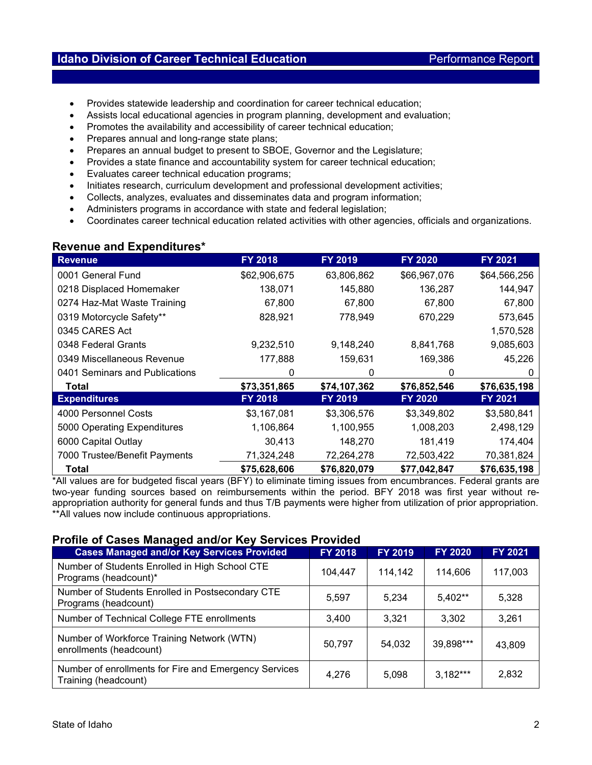# **Idaho Division of Career Technical Education Performance Report**

- Provides statewide leadership and coordination for career technical education;
- Assists local educational agencies in program planning, development and evaluation;
- Promotes the availability and accessibility of career technical education;
- Prepares annual and long-range state plans;
- Prepares an annual budget to present to SBOE, Governor and the Legislature;
- Provides a state finance and accountability system for career technical education;
- Evaluates career technical education programs;
- Initiates research, curriculum development and professional development activities;
- Collects, analyzes, evaluates and disseminates data and program information;
- Administers programs in accordance with state and federal legislation;
- Coordinates career technical education related activities with other agencies, officials and organizations.

## **Revenue and Expenditures\***

| <b>Revenue</b>                 | <b>FY 2018</b> | FY 2019      | <b>FY 2020</b> | <b>FY 2021</b> |
|--------------------------------|----------------|--------------|----------------|----------------|
| 0001 General Fund              | \$62,906,675   | 63,806,862   | \$66,967,076   | \$64,566,256   |
| 0218 Displaced Homemaker       | 138,071        | 145,880      | 136,287        | 144,947        |
| 0274 Haz-Mat Waste Training    | 67,800         | 67,800       | 67,800         | 67,800         |
| 0319 Motorcycle Safety**       | 828,921        | 778,949      | 670,229        | 573,645        |
| 0345 CARES Act                 |                |              |                | 1,570,528      |
| 0348 Federal Grants            | 9,232,510      | 9,148,240    | 8,841,768      | 9,085,603      |
| 0349 Miscellaneous Revenue     | 177,888        | 159,631      | 169,386        | 45,226         |
| 0401 Seminars and Publications | 0              | O            | 0              | 0              |
| Total                          | \$73,351,865   | \$74,107,362 | \$76,852,546   | \$76,635,198   |
| <b>Expenditures</b>            | FY 2018        | FY 2019      | <b>FY 2020</b> | FY 2021        |
| 4000 Personnel Costs           | \$3,167,081    | \$3,306,576  | \$3,349,802    | \$3,580,841    |
| 5000 Operating Expenditures    | 1,106,864      | 1,100,955    | 1,008,203      | 2,498,129      |
| 6000 Capital Outlay            | 30,413         | 148,270      | 181,419        | 174,404        |
| 7000 Trustee/Benefit Payments  | 71,324,248     | 72,264,278   | 72,503,422     | 70,381,824     |
| Total                          | \$75,628,606   | \$76,820,079 | \$77,042,847   | \$76,635,198   |

\*All values are for budgeted fiscal years (BFY) to eliminate timing issues from encumbrances. Federal grants are two-year funding sources based on reimbursements within the period. BFY 2018 was first year without reappropriation authority for general funds and thus T/B payments were higher from utilization of prior appropriation. \*\*All values now include continuous appropriations.

## **Profile of Cases Managed and/or Key Services Provided**

| <b>Cases Managed and/or Key Services Provided</b>                             | <b>FY 2018</b> | <b>FY 2019</b> | <b>FY 2020</b> | FY 2021 |
|-------------------------------------------------------------------------------|----------------|----------------|----------------|---------|
| Number of Students Enrolled in High School CTE<br>Programs (headcount)*       | 104.447        | 114,142        | 114.606        | 117,003 |
| Number of Students Enrolled in Postsecondary CTE<br>Programs (headcount)      | 5,597          | 5,234          | 5,402**        | 5,328   |
| Number of Technical College FTE enrollments                                   | 3,400          | 3.321          | 3.302          | 3.261   |
| Number of Workforce Training Network (WTN)<br>enrollments (headcount)         | 50,797         | 54,032         | 39,898***      | 43.809  |
| Number of enrollments for Fire and Emergency Services<br>Training (headcount) | 4,276          | 5,098          | $3.182***$     | 2,832   |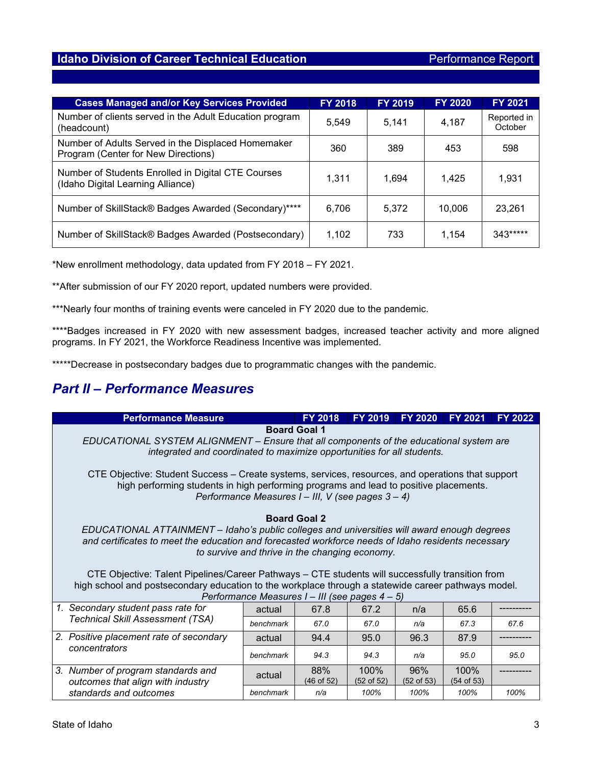# **Idaho Division of Career Technical Education Performance Report**

| <b>Cases Managed and/or Key Services Provided</b>                                         | <b>FY 2018</b> | <b>FY 2019</b> | <b>FY 2020</b> | <b>FY 2021</b>         |
|-------------------------------------------------------------------------------------------|----------------|----------------|----------------|------------------------|
| Number of clients served in the Adult Education program<br>(headcount)                    | 5,549          | 5,141          | 4,187          | Reported in<br>October |
| Number of Adults Served in the Displaced Homemaker<br>Program (Center for New Directions) | 360            | 389            | 453            | 598                    |
| Number of Students Enrolled in Digital CTE Courses<br>(Idaho Digital Learning Alliance)   | 1,311          | 1.694          | 1.425          | 1,931                  |
| Number of SkillStack® Badges Awarded (Secondary)****                                      | 6,706          | 5.372          | 10.006         | 23,261                 |
| Number of SkillStack® Badges Awarded (Postsecondary)                                      | 1,102          | 733            | 1.154          | 343*****               |

\*New enrollment methodology, data updated from FY 2018 – FY 2021.

\*\*After submission of our FY 2020 report, updated numbers were provided.

\*\*\*Nearly four months of training events were canceled in FY 2020 due to the pandemic.

\*\*\*\*Badges increased in FY 2020 with new assessment badges, increased teacher activity and more aligned programs. In FY 2021, the Workforce Readiness Incentive was implemented.

\*\*\*\*\*Decrease in postsecondary badges due to programmatic changes with the pandemic.

# *Part II – Performance Measures*

| <b>Performance Measure</b>                                                                                                                                                                                                                                                                                                                                                                                                                                                                                                              |           | <b>FY 2018</b>    | <b>FY 2019</b>     | <b>FY 2020</b>               | <b>FY 2021</b>       | <b>FY 2022</b> |  |
|-----------------------------------------------------------------------------------------------------------------------------------------------------------------------------------------------------------------------------------------------------------------------------------------------------------------------------------------------------------------------------------------------------------------------------------------------------------------------------------------------------------------------------------------|-----------|-------------------|--------------------|------------------------------|----------------------|----------------|--|
| <b>Board Goal 1</b><br>EDUCATIONAL SYSTEM ALIGNMENT - Ensure that all components of the educational system are<br>integrated and coordinated to maximize opportunities for all students.                                                                                                                                                                                                                                                                                                                                                |           |                   |                    |                              |                      |                |  |
| CTE Objective: Student Success – Create systems, services, resources, and operations that support<br>high performing students in high performing programs and lead to positive placements.<br>Performance Measures I - III, V (see pages 3 - 4)                                                                                                                                                                                                                                                                                         |           |                   |                    |                              |                      |                |  |
| <b>Board Goal 2</b><br>EDUCATIONAL ATTAINMENT – Idaho's public colleges and universities will award enough degrees<br>and certificates to meet the education and forecasted workforce needs of Idaho residents necessary<br>to survive and thrive in the changing economy.<br>CTE Objective: Talent Pipelines/Career Pathways – CTE students will successfully transition from<br>high school and postsecondary education to the workplace through a statewide career pathways model.<br>Performance Measures I - III (see pages 4 - 5) |           |                   |                    |                              |                      |                |  |
| 1. Secondary student pass rate for                                                                                                                                                                                                                                                                                                                                                                                                                                                                                                      | actual    | 67.8              | 67.2               | n/a                          | 65.6                 |                |  |
| <b>Technical Skill Assessment (TSA)</b>                                                                                                                                                                                                                                                                                                                                                                                                                                                                                                 | benchmark | 67.0              | 67.0               | n/a                          | 67.3                 | 67.6           |  |
| 2. Positive placement rate of secondary                                                                                                                                                                                                                                                                                                                                                                                                                                                                                                 | actual    | 94.4              | 95.0               | 96.3                         | 87.9                 |                |  |
| concentrators                                                                                                                                                                                                                                                                                                                                                                                                                                                                                                                           | benchmark | 94.3              | 94.3               | n/a                          | 95.0                 | 95.0           |  |
| 3. Number of program standards and<br>outcomes that align with industry                                                                                                                                                                                                                                                                                                                                                                                                                                                                 | actual    | 88%<br>(46 of 52) | 100%<br>(52 of 52) | 96%<br>$(52 \text{ of } 53)$ | 100%<br>$(54$ of 53) |                |  |
| standards and outcomes                                                                                                                                                                                                                                                                                                                                                                                                                                                                                                                  | benchmark | n/a               | 100%               | 100%                         | 100%                 | 100%           |  |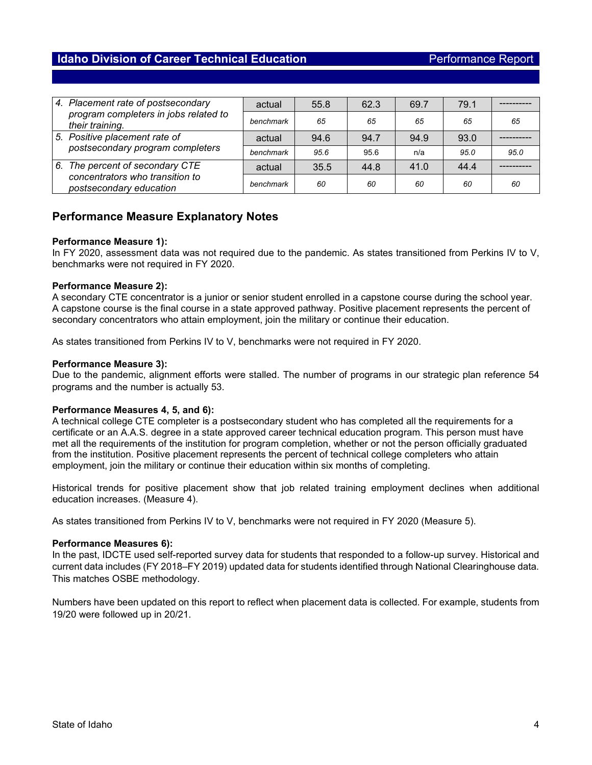## **Idaho Division of Career Technical Education Performance Report**

| 4. Placement rate of postsecondary                                | actual    | 55.8 | 62.3 | 69.7 | 79.1 |      |
|-------------------------------------------------------------------|-----------|------|------|------|------|------|
| program completers in jobs related to<br>their training.          | benchmark | 65   | 65   | 65   | 65   | 65   |
| 5. Positive placement rate of<br>postsecondary program completers | actual    | 94.6 | 94.7 | 94.9 | 93.0 |      |
|                                                                   | benchmark | 95.6 | 95.6 | n/a  | 95.0 | 95.0 |
| 6. The percent of secondary CTE                                   | actual    | 35.5 | 44.8 | 41.0 | 44.4 |      |
| concentrators who transition to<br>postsecondary education        | benchmark | 60   | 60   | 60   | 60   | 60   |

## **Performance Measure Explanatory Notes**

### **Performance Measure 1):**

In FY 2020, assessment data was not required due to the pandemic. As states transitioned from Perkins IV to V, benchmarks were not required in FY 2020.

### **Performance Measure 2):**

A secondary CTE concentrator is a junior or senior student enrolled in a capstone course during the school year. A capstone course is the final course in a state approved pathway. Positive placement represents the percent of secondary concentrators who attain employment, join the military or continue their education.

As states transitioned from Perkins IV to V, benchmarks were not required in FY 2020.

### **Performance Measure 3):**

Due to the pandemic, alignment efforts were stalled. The number of programs in our strategic plan reference 54 programs and the number is actually 53.

### **Performance Measures 4, 5, and 6):**

A technical college CTE completer is a postsecondary student who has completed all the requirements for a certificate or an A.A.S. degree in a state approved career technical education program. This person must have met all the requirements of the institution for program completion, whether or not the person officially graduated from the institution. Positive placement represents the percent of technical college completers who attain employment, join the military or continue their education within six months of completing.

Historical trends for positive placement show that job related training employment declines when additional education increases. (Measure 4).

As states transitioned from Perkins IV to V, benchmarks were not required in FY 2020 (Measure 5).

### **Performance Measures 6):**

In the past, IDCTE used self-reported survey data for students that responded to a follow-up survey. Historical and current data includes (FY 2018–FY 2019) updated data for students identified through National Clearinghouse data. This matches OSBE methodology.

Numbers have been updated on this report to reflect when placement data is collected. For example, students from 19/20 were followed up in 20/21.